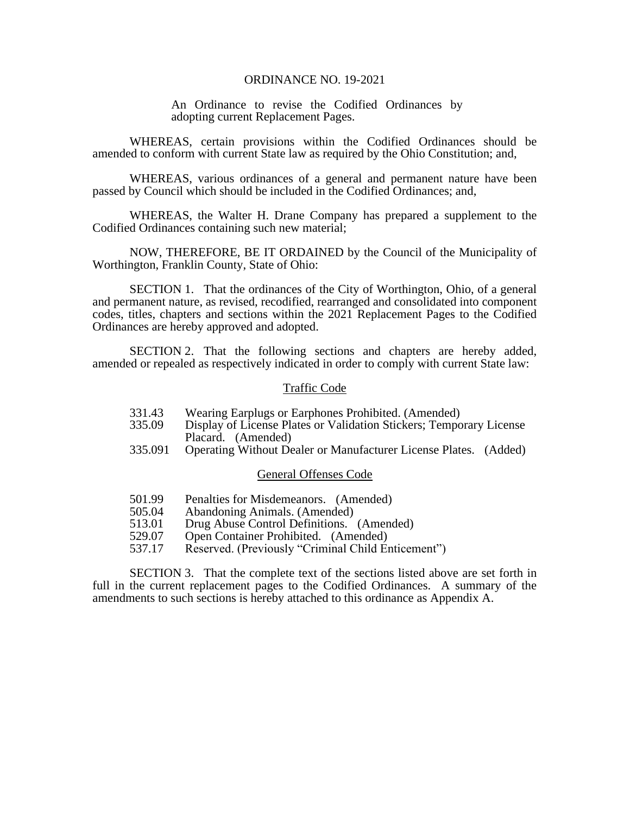## ORDINANCE NO. 19-2021

An Ordinance to revise the Codified Ordinances by adopting current Replacement Pages.

WHEREAS, certain provisions within the Codified Ordinances should be amended to conform with current State law as required by the Ohio Constitution; and,

WHEREAS, various ordinances of a general and permanent nature have been passed by Council which should be included in the Codified Ordinances; and,

WHEREAS, the Walter H. Drane Company has prepared a supplement to the Codified Ordinances containing such new material;

NOW, THEREFORE, BE IT ORDAINED by the Council of the Municipality of Worthington, Franklin County, State of Ohio:

SECTION 1. That the ordinances of the City of Worthington, Ohio, of a general and permanent nature, as revised, recodified, rearranged and consolidated into component codes, titles, chapters and sections within the 2021 Replacement Pages to the Codified Ordinances are hereby approved and adopted.

SECTION 2. That the following sections and chapters are hereby added, amended or repealed as respectively indicated in order to comply with current State law:

## Traffic Code

- 331.43 Wearing Earplugs or Earphones Prohibited. (Amended)<br>335.09 Display of License Plates or Validation Stickers: Tempo
- Display of License Plates or Validation Stickers; Temporary License Placard. (Amended)
- 335.091 Operating Without Dealer or Manufacturer License Plates. (Added)

## General Offenses Code

- 501.99 Penalties for Misdemeanors. (Amended)
- 505.04 Abandoning Animals. (Amended)
- 513.01 Drug Abuse Control Definitions. (Amended)
- 529.07 Open Container Prohibited. (Amended)
- 537.17 Reserved. (Previously "Criminal Child Enticement")

SECTION 3. That the complete text of the sections listed above are set forth in full in the current replacement pages to the Codified Ordinances. A summary of the amendments to such sections is hereby attached to this ordinance as Appendix A.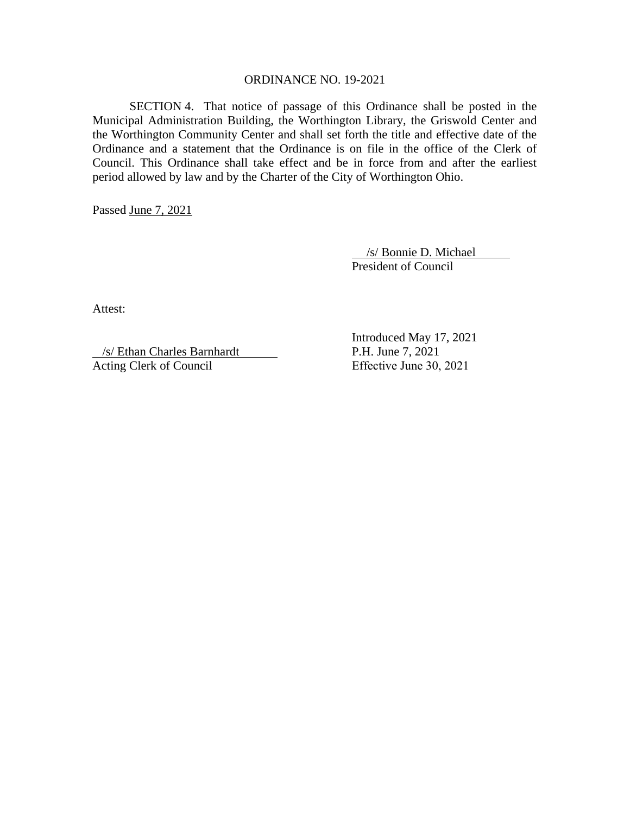## ORDINANCE NO. 19-2021

SECTION 4. That notice of passage of this Ordinance shall be posted in the Municipal Administration Building, the Worthington Library, the Griswold Center and the Worthington Community Center and shall set forth the title and effective date of the Ordinance and a statement that the Ordinance is on file in the office of the Clerk of Council. This Ordinance shall take effect and be in force from and after the earliest period allowed by law and by the Charter of the City of Worthington Ohio.

Passed June 7, 2021

 /s/ Bonnie D. Michael President of Council

Attest:

 /s/ Ethan Charles Barnhardt Acting Clerk of Council Effective June 30, 2021

Introduced May 17, 2021 P.H. June 7, 2021